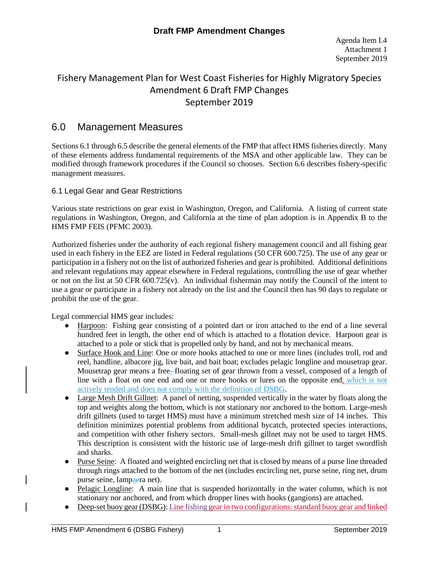# Fishery Management Plan for West Coast Fisheries for Highly Migratory Species Amendment 6 Draft FMP Changes September 2019

# 6.0 Management Measures

Sections 6.1 through 6.5 describe the general elements of the FMP that affect HMS fisheries directly. Many of these elements address fundamental requirements of the MSA and other applicable law. They can be modified through framework procedures if the Council so chooses. Section 6.6 describes fishery-specific management measures.

### 6.1 Legal Gear and Gear Restrictions

Various state restrictions on gear exist in Washington, Oregon, and California. A listing of current state regulations in Washington, Oregon, and California at the time of plan adoption is in Appendix B to the HMS FMP FEIS (PFMC 2003).

Authorized fisheries under the authority of each regional fishery management council and all fishing gear used in each fishery in the EEZ are listed in Federal regulations (50 CFR 600.725). The use of any gear or participation in a fishery not on the list of authorized fisheries and gear is prohibited. Additional definitions and relevant regulations may appear elsewhere in Federal regulations, controlling the use of gear whether or not on the list at 50 CFR 600.725(v). An individual fisherman may notify the Council of the intent to use a gear or participate in a fishery not already on the list and the Council then has 90 days to regulate or prohibit the use of the gear.

Legal commercial HMS gear includes:

- Harpoon: Fishing gear consisting of a pointed dart or iron attached to the end of a line several hundred feet in length, the other end of which is attached to a flotation device. Harpoon gear is attached to a pole or stick that is propelled only by hand, and not by mechanical means.
- Surface Hook and Line: One or more hooks attached to one or more lines (includes troll, rod and reel, handline, albacore jig, live bait, and bait boat; excludes pelagic longline and mousetrap gear. Mousetrap gear means a free-floating set of gear thrown from a vessel, composed of a length of line with a float on one end and one or more hooks or lures on the opposite end, which is not actively tended and does not comply with the definition of DSBG.
- Large Mesh Drift Gillnet: A panel of netting, suspended vertically in the water by floats along the top and weights along the bottom, which is not stationary nor anchored to the bottom. Large-mesh drift gillnets (used to target HMS) must have a minimum stretched mesh size of 14 inches. This definition minimizes potential problems from additional bycatch, protected species interactions, and competition with other fishery sectors. Small-mesh gillnet may not be used to target HMS. This description is consistent with the historic use of large-mesh drift gillnet to target swordfish and sharks.
- Purse Seine: A floated and weighted encircling net that is closed by means of a purse line threaded through rings attached to the bottom of the net (includes encircling net, purse seine, ring net, drum purse seine, lampaera net).
- Pelagic Longline: A main line that is suspended horizontally in the water column, which is not stationary nor anchored, and from which dropper lines with hooks (gangions) are attached.
- Deep-set buoy gear (DSBG): Line fishing gear in two configurations: standard buoy gear and linked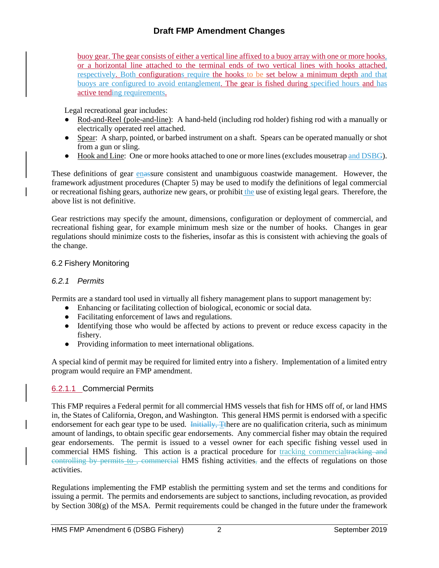buoy gear. The gear consists of either a vertical line affixed to a buoy array with one or more hooks, or a horizontal line attached to the terminal ends of two vertical lines with hooks attached, respectively. Both configurations require the hooks to be set below a minimum depth and that buoys are configured to avoid entanglement. The gear is fished during specified hours and has active tending requirements.

Legal recreational gear includes:

- Rod-and-Reel (pole-and-line): A hand-held (including rod holder) fishing rod with a manually or electrically operated reel attached.
- Spear: A sharp, pointed, or barbed instrument on a shaft. Spears can be operated manually or shot from a gun or sling.
- Hook and Line: One or more hooks attached to one or more lines (excludes mousetrap and DSBG).

These definitions of gear enassure consistent and unambiguous coastwide management. However, the framework adjustment procedures (Chapter 5) may be used to modify the definitions of legal commercial or recreational fishing gears, authorize new gears, or prohibit the use of existing legal gears. Therefore, the above list is not definitive.

Gear restrictions may specify the amount, dimensions, configuration or deployment of commercial, and recreational fishing gear, for example minimum mesh size or the number of hooks. Changes in gear regulations should minimize costs to the fisheries, insofar as this is consistent with achieving the goals of the change.

#### 6.2 Fishery Monitoring

#### *6.2.1 Permits*

Permits are a standard tool used in virtually all fishery management plans to support management by:

- Enhancing or facilitating collection of biological, economic or social data.
- Facilitating enforcement of laws and regulations.
- Identifying those who would be affected by actions to prevent or reduce excess capacity in the fishery.
- Providing information to meet international obligations.

A special kind of permit may be required for limited entry into a fishery. Implementation of a limited entry program would require an FMP amendment.

### 6.2.1.1 Commercial Permits

This FMP requires a Federal permit for all commercial HMS vessels that fish for HMS off of, or land HMS in, the States of California, Oregon, and Washington. This general HMS permit is endorsed with a specific endorsement for each gear type to be used. Initially, Tthere are no qualification criteria, such as minimum amount of landings, to obtain specific gear endorsements. Any commercial fisher may obtain the required gear endorsements. The permit is issued to a vessel owner for each specific fishing vessel used in commercial HMS fishing. This action is a practical procedure for tracking commercialtracking and controlling by permits to, commercial HMS fishing activities, and the effects of regulations on those activities.

Regulations implementing the FMP establish the permitting system and set the terms and conditions for issuing a permit. The permits and endorsements are subject to sanctions, including revocation, as provided by Section 308(g) of the MSA. Permit requirements could be changed in the future under the framework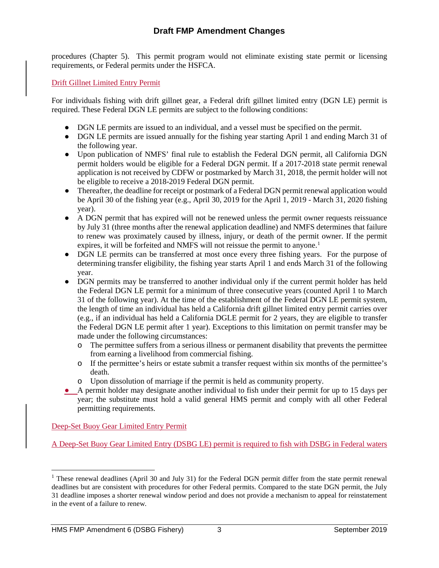procedures (Chapter 5). This permit program would not eliminate existing state permit or licensing requirements, or Federal permits under the HSFCA.

#### Drift Gillnet Limited Entry Permit

For individuals fishing with drift gillnet gear, a Federal drift gillnet limited entry (DGN LE) permit is required. These Federal DGN LE permits are subject to the following conditions:

- DGN LE permits are issued to an individual, and a vessel must be specified on the permit.
- DGN LE permits are issued annually for the fishing year starting April 1 and ending March 31 of the following year.
- Upon publication of NMFS' final rule to establish the Federal DGN permit, all California DGN permit holders would be eligible for a Federal DGN permit. If a 2017-2018 state permit renewal application is not received by CDFW or postmarked by March 31, 2018, the permit holder will not be eligible to receive a 2018-2019 Federal DGN permit.
- Thereafter, the deadline for receipt or postmark of a Federal DGN permit renewal application would be April 30 of the fishing year (e.g., April 30, 2019 for the April 1, 2019 - March 31, 2020 fishing year).
- A DGN permit that has expired will not be renewed unless the permit owner requests reissuance by July 31 (three months after the renewal application deadline) and NMFS determines that failure to renew was proximately caused by illness, injury, or death of the permit owner. If the permit expires, it will be forfeited and NMFS will not reissue the permit to anyone.<sup>[1](#page-2-0)</sup>
- DGN LE permits can be transferred at most once every three fishing years. For the purpose of determining transfer eligibility, the fishing year starts April 1 and ends March 31 of the following year.
- DGN permits may be transferred to another individual only if the current permit holder has held the Federal DGN LE permit for a minimum of three consecutive years (counted April 1 to March 31 of the following year). At the time of the establishment of the Federal DGN LE permit system, the length of time an individual has held a California drift gillnet limited entry permit carries over (e.g., if an individual has held a California DGLE permit for 2 years, they are eligible to transfer the Federal DGN LE permit after 1 year). Exceptions to this limitation on permit transfer may be made under the following circumstances:
	- o The permittee suffers from a serious illness or permanent disability that prevents the permittee from earning a livelihood from commercial fishing.
	- o If the permittee's heirs or estate submit a transfer request within six months of the permittee's death.
	- o Upon dissolution of marriage if the permit is held as community property.
- A permit holder may designate another individual to fish under their permit for up to 15 days per year; the substitute must hold a valid general HMS permit and comply with all other Federal permitting requirements.

Deep-Set Buoy Gear Limited Entry Permit

A Deep-Set Buoy Gear Limited Entry (DSBG LE) permit is required to fish with DSBG in Federal waters

<span id="page-2-0"></span><sup>&</sup>lt;sup>1</sup> These renewal deadlines (April 30 and July 31) for the Federal DGN permit differ from the state permit renewal deadlines but are consistent with procedures for other Federal permits. Compared to the state DGN permit, the July 31 deadline imposes a shorter renewal window period and does not provide a mechanism to appeal for reinstatement in the event of a failure to renew.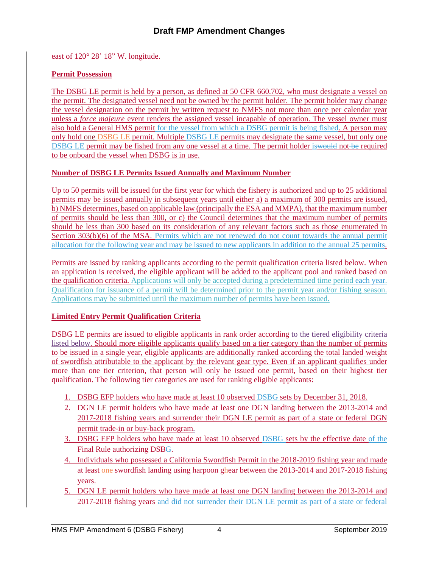east of 120° 28' 18" W. longitude.

#### **Permit Possession**

The DSBG LE permit is held by a person, as defined at 50 CFR 660.702, who must designate a vessel on the permit. The designated vessel need not be owned by the permit holder. The permit holder may change the vessel designation on the permit by written request to NMFS not more than once per calendar year unless a *force majeure* event renders the assigned vessel incapable of operation. The vessel owner must also hold a General HMS permit for the vessel from which a DSBG permit is being fished. A person may only hold one DSBG LE permit. Multiple DSBG LE permits may designate the same vessel, but only one DSBG LE permit may be fished from any one vessel at a time. The permit holder is would not be required to be onboard the vessel when DSBG is in use.

#### **Number of DSBG LE Permits Issued Annually and Maximum Number**

Up to 50 permits will be issued for the first year for which the fishery is authorized and up to 25 additional permits may be issued annually in subsequent years until either a) a maximum of 300 permits are issued, b) NMFS determines, based on applicable law (principally the ESA and MMPA), that the maximum number of permits should be less than 300, or c) the Council determines that the maximum number of permits should be less than 300 based on its consideration of any relevant factors such as those enumerated in Section 303(b)(6) of the MSA. Permits which are not renewed do not count towards the annual permit allocation for the following year and may be issued to new applicants in addition to the annual 25 permits.

Permits are issued by ranking applicants according to the permit qualification criteria listed below. When an application is received, the eligible applicant will be added to the applicant pool and ranked based on the qualification criteria. Applications will only be accepted during a predetermined time period each year. Qualification for issuance of a permit will be determined prior to the permit year and/or fishing season. Applications may be submitted until the maximum number of permits have been issued.

### **Limited Entry Permit Qualification Criteria**

DSBG LE permits are issued to eligible applicants in rank order according to the tiered eligibility criteria listed below. Should more eligible applicants qualify based on a tier category than the number of permits to be issued in a single year, eligible applicants are additionally ranked according the total landed weight of swordfish attributable to the applicant by the relevant gear type. Even if an applicant qualifies under more than one tier criterion, that person will only be issued one permit, based on their highest tier qualification. The following tier categories are used for ranking eligible applicants:

- 1. DSBG EFP holders who have made at least 10 observed DSBG sets by December 31, 2018.
- 2. DGN LE permit holders who have made at least one DGN landing between the 2013-2014 and 2017-2018 fishing years and surrender their DGN LE permit as part of a state or federal DGN permit trade-in or buy-back program.
- 3. DSBG EFP holders who have made at least 10 observed DSBG sets by the effective date of the Final Rule authorizing DSBG.
- 4. Individuals who possessed a California Swordfish Permit in the 2018-2019 fishing year and made at least one swordfish landing using harpoon ghear between the 2013-2014 and 2017-2018 fishing years.
- 5. DGN LE permit holders who have made at least one DGN landing between the 2013-2014 and 2017-2018 fishing years and did not surrender their DGN LE permit as part of a state or federal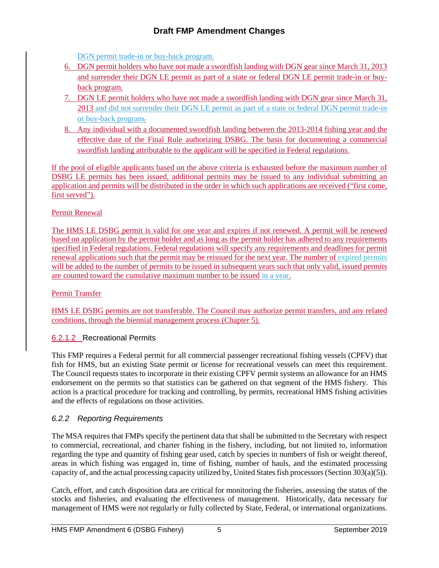DGN permit trade-in or buy-back program.

- 6. DGN permit holders who have not made a swordfish landing with DGN gear since March 31, 2013 and surrender their DGN LE permit as part of a state or federal DGN LE permit trade-in or buyback program.
- 7. DGN LE permit holders who have not made a swordfish landing with DGN gear since March 31, 2013 and did not surrender their DGN LE permit as part of a state or federal DGN permit trade-in or buy-back program.
- 8. Any individual with a documented swordfish landing between the 2013-2014 fishing year and the effective date of the Final Rule authorizing DSBG. The basis for documenting a commercial swordfish landing attributable to the applicant will be specified in Federal regulations.

If the pool of eligible applicants based on the above criteria is exhausted before the maximum number of DSBG LE permits has been issued, additional permits may be issued to any individual submitting an application and permits will be distributed in the order in which such applications are received ("first come, first served").

#### Permit Renewal

The HMS LE DSBG permit is valid for one year and expires if not renewed. A permit will be renewed based on application by the permit holder and as long as the permit holder has adhered to any requirements specified in Federal regulations. Federal regulations will specify any requirements and deadlines for permit renewal applications such that the permit may be reissued for the next year. The number of expired permits will be added to the number of permits to be issued in subsequent years such that only valid, issued permits are counted toward the cumulative maximum number to be issued in a year.

Permit Transfer

HMS LE DSBG permits are not transferable. The Council may authorize permit transfers, and any related conditions, through the biennial management process (Chapter 5).

### 6.2.1.2 Recreational Permits

This FMP requires a Federal permit for all commercial passenger recreational fishing vessels (CPFV) that fish for HMS, but an existing State permit or license for recreational vessels can meet this requirement. The Council requests states to incorporate in their existing CPFV permit systems an allowance for an HMS endorsement on the permits so that statistics can be gathered on that segment of the HMS fishery. This action is a practical procedure for tracking and controlling, by permits, recreational HMS fishing activities and the effects of regulations on those activities.

### *6.2.2 Reporting Requirements*

The MSA requires that FMPs specify the pertinent data that shall be submitted to the Secretary with respect to commercial, recreational, and charter fishing in the fishery, including, but not limited to, information regarding the type and quantity of fishing gear used, catch by species in numbers of fish or weight thereof, areas in which fishing was engaged in, time of fishing, number of hauls, and the estimated processing capacity of, and the actual processing capacity utilized by, United States fish processors (Section  $303(a)(5)$ ).

Catch, effort, and catch disposition data are critical for monitoring the fisheries, assessing the status of the stocks and fisheries, and evaluating the effectiveness of management. Historically, data necessary for management of HMS were not regularly or fully collected by State, Federal, or international organizations.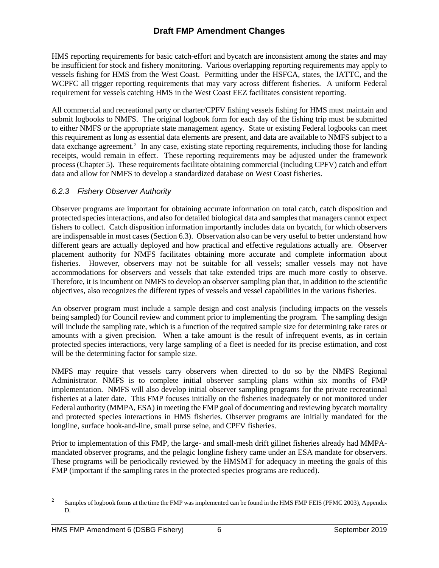HMS reporting requirements for basic catch-effort and bycatch are inconsistent among the states and may be insufficient for stock and fishery monitoring. Various overlapping reporting requirements may apply to vessels fishing for HMS from the West Coast. Permitting under the HSFCA, states, the IATTC, and the WCPFC all trigger reporting requirements that may vary across different fisheries. A uniform Federal requirement for vessels catching HMS in the West Coast EEZ facilitates consistent reporting.

All commercial and recreational party or charter/CPFV fishing vessels fishing for HMS must maintain and submit logbooks to NMFS. The original logbook form for each day of the fishing trip must be submitted to either NMFS or the appropriate state management agency. State or existing Federal logbooks can meet this requirement as long as essential data elements are present, and data are available to NMFS subject to a data exchange agreement.<sup>[2](#page-5-0)</sup> In any case, existing state reporting requirements, including those for landing receipts, would remain in effect. These reporting requirements may be adjusted under the framework process (Chapter 5). These requirements facilitate obtaining commercial (including CPFV) catch and effort data and allow for NMFS to develop a standardized database on West Coast fisheries.

## *6.2.3 Fishery Observer Authority*

Observer programs are important for obtaining accurate information on total catch, catch disposition and protected species interactions, and also for detailed biological data and samples that managers cannot expect fishers to collect. Catch disposition information importantly includes data on bycatch, for which observers are indispensable in most cases (Section 6.3). Observation also can be very useful to better understand how different gears are actually deployed and how practical and effective regulations actually are. Observer placement authority for NMFS facilitates obtaining more accurate and complete information about fisheries. However, observers may not be suitable for all vessels; smaller vessels may not have accommodations for observers and vessels that take extended trips are much more costly to observe. Therefore, it is incumbent on NMFS to develop an observer sampling plan that, in addition to the scientific objectives, also recognizes the different types of vessels and vessel capabilities in the various fisheries.

An observer program must include a sample design and cost analysis (including impacts on the vessels being sampled) for Council review and comment prior to implementing the program. The sampling design will include the sampling rate, which is a function of the required sample size for determining take rates or amounts with a given precision. When a take amount is the result of infrequent events, as in certain protected species interactions, very large sampling of a fleet is needed for its precise estimation, and cost will be the determining factor for sample size.

NMFS may require that vessels carry observers when directed to do so by the NMFS Regional Administrator. NMFS is to complete initial observer sampling plans within six months of FMP implementation. NMFS will also develop initial observer sampling programs for the private recreational fisheries at a later date. This FMP focuses initially on the fisheries inadequately or not monitored under Federal authority (MMPA, ESA) in meeting the FMP goal of documenting and reviewing bycatch mortality and protected species interactions in HMS fisheries. Observer programs are initially mandated for the longline, surface hook-and-line, small purse seine, and CPFV fisheries.

Prior to implementation of this FMP, the large- and small-mesh drift gillnet fisheries already had MMPAmandated observer programs, and the pelagic longline fishery came under an ESA mandate for observers. These programs will be periodically reviewed by the HMSMT for adequacy in meeting the goals of this FMP (important if the sampling rates in the protected species programs are reduced).

<span id="page-5-0"></span><sup>&</sup>lt;sup>2</sup> Samples of logbook forms at the time the FMP was implemented can be found in the HMS FMP FEIS (PFMC 2003), Appendix D.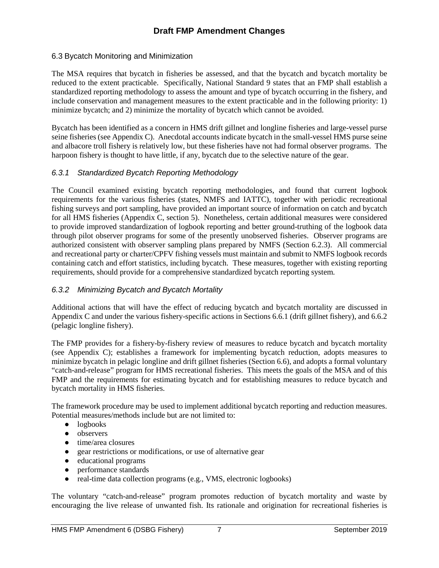#### 6.3 Bycatch Monitoring and Minimization

The MSA requires that bycatch in fisheries be assessed, and that the bycatch and bycatch mortality be reduced to the extent practicable. Specifically, National Standard 9 states that an FMP shall establish a standardized reporting methodology to assess the amount and type of bycatch occurring in the fishery, and include conservation and management measures to the extent practicable and in the following priority: 1) minimize bycatch; and 2) minimize the mortality of bycatch which cannot be avoided.

Bycatch has been identified as a concern in HMS drift gillnet and longline fisheries and large-vessel purse seine fisheries (see Appendix C). Anecdotal accounts indicate bycatch in the small-vessel HMS purse seine and albacore troll fishery is relatively low, but these fisheries have not had formal observer programs. The harpoon fishery is thought to have little, if any, bycatch due to the selective nature of the gear.

#### *6.3.1 Standardized Bycatch Reporting Methodology*

The Council examined existing bycatch reporting methodologies, and found that current logbook requirements for the various fisheries (states, NMFS and IATTC), together with periodic recreational fishing surveys and port sampling, have provided an important source of information on catch and bycatch for all HMS fisheries (Appendix C, section 5). Nonetheless, certain additional measures were considered to provide improved standardization of logbook reporting and better ground-truthing of the logbook data through pilot observer programs for some of the presently unobserved fisheries. Observer programs are authorized consistent with observer sampling plans prepared by NMFS (Section 6.2.3). All commercial and recreational party or charter/CPFV fishing vessels must maintain and submit to NMFS logbook records containing catch and effort statistics, including bycatch. These measures, together with existing reporting requirements, should provide for a comprehensive standardized bycatch reporting system.

### *6.3.2 Minimizing Bycatch and Bycatch Mortality*

Additional actions that will have the effect of reducing bycatch and bycatch mortality are discussed in Appendix C and under the various fishery-specific actions in Sections 6.6.1 (drift gillnet fishery), and 6.6.2 (pelagic longline fishery).

The FMP provides for a fishery-by-fishery review of measures to reduce bycatch and bycatch mortality (see Appendix C); establishes a framework for implementing bycatch reduction, adopts measures to minimize bycatch in pelagic longline and drift gillnet fisheries (Section 6.6), and adopts a formal voluntary "catch-and-release" program for HMS recreational fisheries. This meets the goals of the MSA and of this FMP and the requirements for estimating bycatch and for establishing measures to reduce bycatch and bycatch mortality in HMS fisheries.

The framework procedure may be used to implement additional bycatch reporting and reduction measures. Potential measures/methods include but are not limited to:

- logbooks
- observers
- time/area closures
- gear restrictions or modifications, or use of alternative gear
- educational programs
- performance standards
- real-time data collection programs (e.g., VMS, electronic logbooks)

The voluntary "catch-and-release" program promotes reduction of bycatch mortality and waste by encouraging the live release of unwanted fish. Its rationale and origination for recreational fisheries is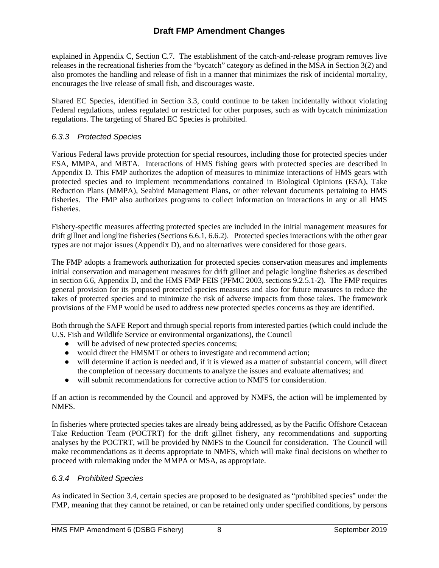explained in Appendix C, Section C.7. The establishment of the catch-and-release program removes live releases in the recreational fisheries from the "bycatch" category as defined in the MSA in Section 3(2) and also promotes the handling and release of fish in a manner that minimizes the risk of incidental mortality, encourages the live release of small fish, and discourages waste.

Shared EC Species, identified in Section 3.3, could continue to be taken incidentally without violating Federal regulations, unless regulated or restricted for other purposes, such as with bycatch minimization regulations. The targeting of Shared EC Species is prohibited.

#### *6.3.3 Protected Species*

Various Federal laws provide protection for special resources, including those for protected species under ESA, MMPA, and MBTA. Interactions of HMS fishing gears with protected species are described in Appendix D. This FMP authorizes the adoption of measures to minimize interactions of HMS gears with protected species and to implement recommendations contained in Biological Opinions (ESA), Take Reduction Plans (MMPA), Seabird Management Plans, or other relevant documents pertaining to HMS fisheries. The FMP also authorizes programs to collect information on interactions in any or all HMS fisheries.

Fishery-specific measures affecting protected species are included in the initial management measures for drift gillnet and longline fisheries (Sections 6.6.1, 6.6.2). Protected species interactions with the other gear types are not major issues (Appendix D), and no alternatives were considered for those gears.

The FMP adopts a framework authorization for protected species conservation measures and implements initial conservation and management measures for drift gillnet and pelagic longline fisheries as described in section 6.6, Appendix D, and the HMS FMP FEIS (PFMC 2003, sections 9.2.5.1-2). The FMP requires general provision for its proposed protected species measures and also for future measures to reduce the takes of protected species and to minimize the risk of adverse impacts from those takes. The framework provisions of the FMP would be used to address new protected species concerns as they are identified.

Both through the SAFE Report and through special reports from interested parties (which could include the U.S. Fish and Wildlife Service or environmental organizations), the Council

- will be advised of new protected species concerns;
- would direct the HMSMT or others to investigate and recommend action;
- will determine if action is needed and, if it is viewed as a matter of substantial concern, will direct the completion of necessary documents to analyze the issues and evaluate alternatives; and
- will submit recommendations for corrective action to NMFS for consideration.

If an action is recommended by the Council and approved by NMFS, the action will be implemented by NMFS.

In fisheries where protected species takes are already being addressed, as by the Pacific Offshore Cetacean Take Reduction Team (POCTRT) for the drift gillnet fishery, any recommendations and supporting analyses by the POCTRT, will be provided by NMFS to the Council for consideration. The Council will make recommendations as it deems appropriate to NMFS, which will make final decisions on whether to proceed with rulemaking under the MMPA or MSA, as appropriate.

### *6.3.4 Prohibited Species*

As indicated in Section 3.4, certain species are proposed to be designated as "prohibited species" under the FMP, meaning that they cannot be retained, or can be retained only under specified conditions, by persons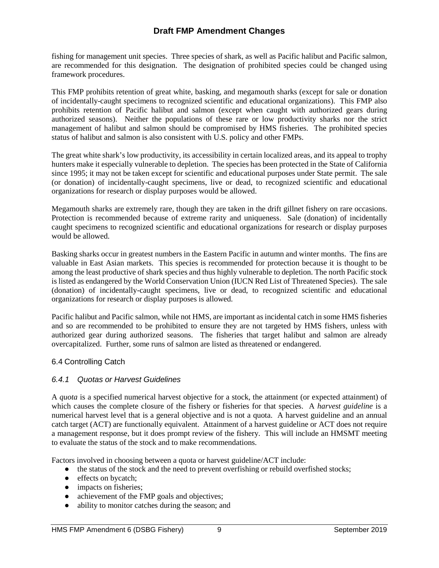fishing for management unit species. Three species of shark, as well as Pacific halibut and Pacific salmon, are recommended for this designation. The designation of prohibited species could be changed using framework procedures.

This FMP prohibits retention of great white, basking, and megamouth sharks (except for sale or donation of incidentally-caught specimens to recognized scientific and educational organizations). This FMP also prohibits retention of Pacific halibut and salmon (except when caught with authorized gears during authorized seasons). Neither the populations of these rare or low productivity sharks nor the strict management of halibut and salmon should be compromised by HMS fisheries. The prohibited species status of halibut and salmon is also consistent with U.S. policy and other FMPs.

The great white shark's low productivity, its accessibility in certain localized areas, and its appeal to trophy hunters make it especially vulnerable to depletion. The species has been protected in the State of California since 1995; it may not be taken except for scientific and educational purposes under State permit. The sale (or donation) of incidentally-caught specimens, live or dead, to recognized scientific and educational organizations for research or display purposes would be allowed.

Megamouth sharks are extremely rare, though they are taken in the drift gillnet fishery on rare occasions. Protection is recommended because of extreme rarity and uniqueness. Sale (donation) of incidentally caught specimens to recognized scientific and educational organizations for research or display purposes would be allowed.

Basking sharks occur in greatest numbers in the Eastern Pacific in autumn and winter months. The fins are valuable in East Asian markets. This species is recommended for protection because it is thought to be among the least productive of shark species and thus highly vulnerable to depletion. The north Pacific stock is listed as endangered by the World Conservation Union (IUCN Red List of Threatened Species). The sale (donation) of incidentally-caught specimens, live or dead, to recognized scientific and educational organizations for research or display purposes is allowed.

Pacific halibut and Pacific salmon, while not HMS, are important as incidental catch in some HMS fisheries and so are recommended to be prohibited to ensure they are not targeted by HMS fishers, unless with authorized gear during authorized seasons. The fisheries that target halibut and salmon are already overcapitalized. Further, some runs of salmon are listed as threatened or endangered.

### 6.4 Controlling Catch

### *6.4.1 Quotas or Harvest Guidelines*

A *quota* is a specified numerical harvest objective for a stock, the attainment (or expected attainment) of which causes the complete closure of the fishery or fisheries for that species. A *harvest guideline* is a numerical harvest level that is a general objective and is not a quota. A harvest guideline and an annual catch target (ACT) are functionally equivalent. Attainment of a harvest guideline or ACT does not require a management response, but it does prompt review of the fishery. This will include an HMSMT meeting to evaluate the status of the stock and to make recommendations.

Factors involved in choosing between a quota or harvest guideline/ACT include:

- the status of the stock and the need to prevent overfishing or rebuild overfished stocks;
- effects on bycatch;
- impacts on fisheries;
- achievement of the FMP goals and objectives;
- ability to monitor catches during the season; and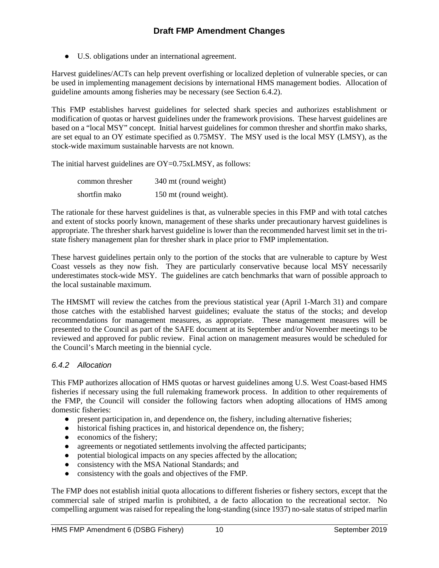● U.S. obligations under an international agreement.

Harvest guidelines/ACTs can help prevent overfishing or localized depletion of vulnerable species, or can be used in implementing management decisions by international HMS management bodies. Allocation of guideline amounts among fisheries may be necessary (see Section 6.4.2).

This FMP establishes harvest guidelines for selected shark species and authorizes establishment or modification of quotas or harvest guidelines under the framework provisions. These harvest guidelines are based on a "local MSY" concept. Initial harvest guidelines for common thresher and shortfin mako sharks, are set equal to an OY estimate specified as 0.75MSY. The MSY used is the local MSY (LMSY), as the stock-wide maximum sustainable harvests are not known.

The initial harvest guidelines are OY=0.75xLMSY, as follows:

| common thresher | 340 mt (round weight)  |
|-----------------|------------------------|
| shortfin mako   | 150 mt (round weight). |

The rationale for these harvest guidelines is that, as vulnerable species in this FMP and with total catches and extent of stocks poorly known, management of these sharks under precautionary harvest guidelines is appropriate. The thresher shark harvest guideline is lower than the recommended harvest limit set in the tristate fishery management plan for thresher shark in place prior to FMP implementation.

These harvest guidelines pertain only to the portion of the stocks that are vulnerable to capture by West Coast vessels as they now fish. They are particularly conservative because local MSY necessarily underestimates stock-wide MSY. The guidelines are catch benchmarks that warn of possible approach to the local sustainable maximum.

The HMSMT will review the catches from the previous statistical year (April 1-March 31) and compare those catches with the established harvest guidelines; evaluate the status of the stocks; and develop recommendations for management measures, as appropriate. These management measures will be presented to the Council as part of the SAFE document at its September and/or November meetings to be reviewed and approved for public review. Final action on management measures would be scheduled for the Council's March meeting in the biennial cycle.

### *6.4.2 Allocation*

This FMP authorizes allocation of HMS quotas or harvest guidelines among U.S. West Coast-based HMS fisheries if necessary using the full rulemaking framework process. In addition to other requirements of the FMP, the Council will consider the following factors when adopting allocations of HMS among domestic fisheries:

- present participation in, and dependence on, the fishery, including alternative fisheries;
- historical fishing practices in, and historical dependence on, the fishery;
- economics of the fishery;
- agreements or negotiated settlements involving the affected participants;
- potential biological impacts on any species affected by the allocation;
- consistency with the MSA National Standards; and
- consistency with the goals and objectives of the FMP.

The FMP does not establish initial quota allocations to different fisheries or fishery sectors, except that the commercial sale of striped marlin is prohibited, a de facto allocation to the recreational sector. No compelling argument was raised for repealing the long-standing (since 1937) no-sale status of striped marlin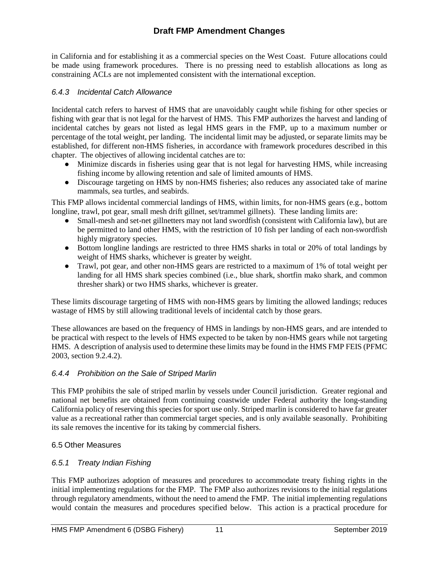in California and for establishing it as a commercial species on the West Coast. Future allocations could be made using framework procedures. There is no pressing need to establish allocations as long as constraining ACLs are not implemented consistent with the international exception.

### *6.4.3 Incidental Catch Allowance*

Incidental catch refers to harvest of HMS that are unavoidably caught while fishing for other species or fishing with gear that is not legal for the harvest of HMS. This FMP authorizes the harvest and landing of incidental catches by gears not listed as legal HMS gears in the FMP, up to a maximum number or percentage of the total weight, per landing. The incidental limit may be adjusted, or separate limits may be established, for different non-HMS fisheries, in accordance with framework procedures described in this chapter. The objectives of allowing incidental catches are to:

- Minimize discards in fisheries using gear that is not legal for harvesting HMS, while increasing fishing income by allowing retention and sale of limited amounts of HMS.
- Discourage targeting on HMS by non-HMS fisheries; also reduces any associated take of marine mammals, sea turtles, and seabirds.

This FMP allows incidental commercial landings of HMS, within limits, for non-HMS gears (e.g., bottom longline, trawl, pot gear, small mesh drift gillnet, set/trammel gillnets). These landing limits are:

- Small-mesh and set-net gillnetters may not land swordfish (consistent with California law), but are be permitted to land other HMS, with the restriction of 10 fish per landing of each non-swordfish highly migratory species.
- Bottom longline landings are restricted to three HMS sharks in total or 20% of total landings by weight of HMS sharks, whichever is greater by weight.
- Trawl, pot gear, and other non-HMS gears are restricted to a maximum of 1% of total weight per landing for all HMS shark species combined (i.e., blue shark, shortfin mako shark, and common thresher shark) or two HMS sharks, whichever is greater.

These limits discourage targeting of HMS with non-HMS gears by limiting the allowed landings; reduces wastage of HMS by still allowing traditional levels of incidental catch by those gears.

These allowances are based on the frequency of HMS in landings by non-HMS gears, and are intended to be practical with respect to the levels of HMS expected to be taken by non-HMS gears while not targeting HMS. A description of analysis used to determine these limits may be found in the HMS FMP FEIS (PFMC 2003, section 9.2.4.2).

### *6.4.4 Prohibition on the Sale of Striped Marlin*

This FMP prohibits the sale of striped marlin by vessels under Council jurisdiction. Greater regional and national net benefits are obtained from continuing coastwide under Federal authority the long-standing California policy of reserving this species for sport use only. Striped marlin is considered to have far greater value as a recreational rather than commercial target species, and is only available seasonally. Prohibiting its sale removes the incentive for its taking by commercial fishers.

### 6.5 Other Measures

### *6.5.1 Treaty Indian Fishing*

This FMP authorizes adoption of measures and procedures to accommodate treaty fishing rights in the initial implementing regulations for the FMP. The FMP also authorizes revisions to the initial regulations through regulatory amendments, without the need to amend the FMP. The initial implementing regulations would contain the measures and procedures specified below. This action is a practical procedure for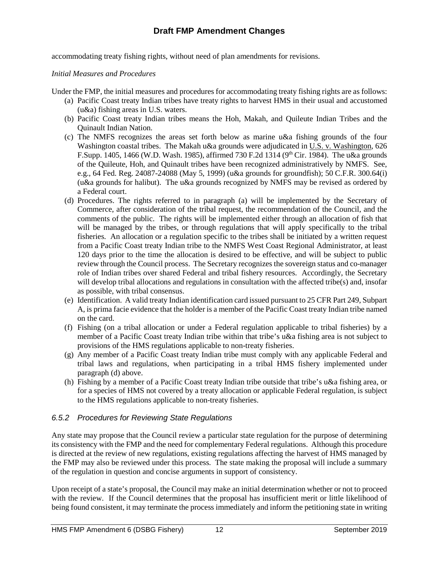accommodating treaty fishing rights, without need of plan amendments for revisions.

#### *Initial Measures and Procedures*

Under the FMP, the initial measures and procedures for accommodating treaty fishing rights are as follows:

- (a) Pacific Coast treaty Indian tribes have treaty rights to harvest HMS in their usual and accustomed (u&a) fishing areas in U.S. waters.
- (b) Pacific Coast treaty Indian tribes means the Hoh, Makah, and Quileute Indian Tribes and the Quinault Indian Nation.
- (c) The NMFS recognizes the areas set forth below as marine u&a fishing grounds of the four Washington coastal tribes. The Makah u&a grounds were adjudicated in U.S. v. Washington, 626 F.Supp. 1405, 1466 (W.D. Wash. 1985), affirmed 730 F.2d 1314 (9th Cir. 1984). The u&a grounds of the Quileute, Hoh, and Quinault tribes have been recognized administratively by NMFS. See, e.g., 64 Fed. Reg. 24087-24088 (May 5, 1999) (u&a grounds for groundfish); 50 C.F.R. 300.64(i) (u&a grounds for halibut). The u&a grounds recognized by NMFS may be revised as ordered by a Federal court.
- (d) Procedures. The rights referred to in paragraph (a) will be implemented by the Secretary of Commerce, after consideration of the tribal request, the recommendation of the Council, and the comments of the public. The rights will be implemented either through an allocation of fish that will be managed by the tribes, or through regulations that will apply specifically to the tribal fisheries. An allocation or a regulation specific to the tribes shall be initiated by a written request from a Pacific Coast treaty Indian tribe to the NMFS West Coast Regional Administrator, at least 120 days prior to the time the allocation is desired to be effective, and will be subject to public review through the Council process. The Secretary recognizes the sovereign status and co-manager role of Indian tribes over shared Federal and tribal fishery resources. Accordingly, the Secretary will develop tribal allocations and regulations in consultation with the affected tribe(s) and, insofar as possible, with tribal consensus.
- (e) Identification. A valid treaty Indian identification card issued pursuant to 25 CFR Part 249, Subpart A, is prima facie evidence that the holder is a member of the Pacific Coast treaty Indian tribe named on the card.
- (f) Fishing (on a tribal allocation or under a Federal regulation applicable to tribal fisheries) by a member of a Pacific Coast treaty Indian tribe within that tribe's u&a fishing area is not subject to provisions of the HMS regulations applicable to non-treaty fisheries.
- (g) Any member of a Pacific Coast treaty Indian tribe must comply with any applicable Federal and tribal laws and regulations, when participating in a tribal HMS fishery implemented under paragraph (d) above.
- (h) Fishing by a member of a Pacific Coast treaty Indian tribe outside that tribe's u&a fishing area, or for a species of HMS not covered by a treaty allocation or applicable Federal regulation, is subject to the HMS regulations applicable to non-treaty fisheries.

### *6.5.2 Procedures for Reviewing State Regulations*

Any state may propose that the Council review a particular state regulation for the purpose of determining its consistency with the FMP and the need for complementary Federal regulations. Although this procedure is directed at the review of new regulations, existing regulations affecting the harvest of HMS managed by the FMP may also be reviewed under this process. The state making the proposal will include a summary of the regulation in question and concise arguments in support of consistency.

Upon receipt of a state's proposal, the Council may make an initial determination whether or not to proceed with the review. If the Council determines that the proposal has insufficient merit or little likelihood of being found consistent, it may terminate the process immediately and inform the petitioning state in writing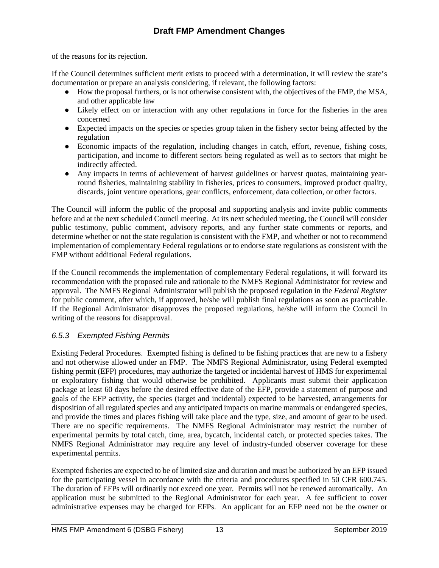of the reasons for its rejection.

If the Council determines sufficient merit exists to proceed with a determination, it will review the state's documentation or prepare an analysis considering, if relevant, the following factors:

- How the proposal furthers, or is not otherwise consistent with, the objectives of the FMP, the MSA, and other applicable law
- Likely effect on or interaction with any other regulations in force for the fisheries in the area concerned
- Expected impacts on the species or species group taken in the fishery sector being affected by the regulation
- Economic impacts of the regulation, including changes in catch, effort, revenue, fishing costs, participation, and income to different sectors being regulated as well as to sectors that might be indirectly affected.
- Any impacts in terms of achievement of harvest guidelines or harvest quotas, maintaining yearround fisheries, maintaining stability in fisheries, prices to consumers, improved product quality, discards, joint venture operations, gear conflicts, enforcement, data collection, or other factors.

The Council will inform the public of the proposal and supporting analysis and invite public comments before and at the next scheduled Council meeting. At its next scheduled meeting, the Council will consider public testimony, public comment, advisory reports, and any further state comments or reports, and determine whether or not the state regulation is consistent with the FMP, and whether or not to recommend implementation of complementary Federal regulations or to endorse state regulations as consistent with the FMP without additional Federal regulations.

If the Council recommends the implementation of complementary Federal regulations, it will forward its recommendation with the proposed rule and rationale to the NMFS Regional Administrator for review and approval. The NMFS Regional Administrator will publish the proposed regulation in the *Federal Register* for public comment, after which, if approved, he/she will publish final regulations as soon as practicable. If the Regional Administrator disapproves the proposed regulations, he/she will inform the Council in writing of the reasons for disapproval.

### *6.5.3 Exempted Fishing Permits*

Existing Federal Procedures. Exempted fishing is defined to be fishing practices that are new to a fishery and not otherwise allowed under an FMP. The NMFS Regional Administrator, using Federal exempted fishing permit (EFP) procedures, may authorize the targeted or incidental harvest of HMS for experimental or exploratory fishing that would otherwise be prohibited. Applicants must submit their application package at least 60 days before the desired effective date of the EFP, provide a statement of purpose and goals of the EFP activity, the species (target and incidental) expected to be harvested, arrangements for disposition of all regulated species and any anticipated impacts on marine mammals or endangered species, and provide the times and places fishing will take place and the type, size, and amount of gear to be used. There are no specific requirements. The NMFS Regional Administrator may restrict the number of experimental permits by total catch, time, area, bycatch, incidental catch, or protected species takes. The NMFS Regional Administrator may require any level of industry-funded observer coverage for these experimental permits.

Exempted fisheries are expected to be of limited size and duration and must be authorized by an EFP issued for the participating vessel in accordance with the criteria and procedures specified in 50 CFR 600.745. The duration of EFPs will ordinarily not exceed one year. Permits will not be renewed automatically. An application must be submitted to the Regional Administrator for each year. A fee sufficient to cover administrative expenses may be charged for EFPs. An applicant for an EFP need not be the owner or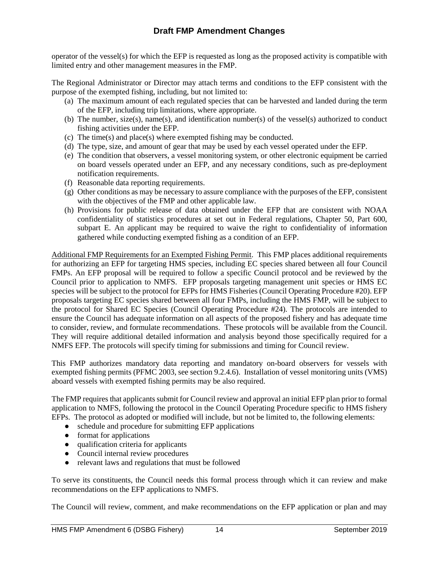operator of the vessel(s) for which the EFP is requested as long as the proposed activity is compatible with limited entry and other management measures in the FMP.

The Regional Administrator or Director may attach terms and conditions to the EFP consistent with the purpose of the exempted fishing, including, but not limited to:

- (a) The maximum amount of each regulated species that can be harvested and landed during the term of the EFP, including trip limitations, where appropriate.
- (b) The number, size(s), name(s), and identification number(s) of the vessel(s) authorized to conduct fishing activities under the EFP.
- (c) The time(s) and place(s) where exempted fishing may be conducted.
- (d) The type, size, and amount of gear that may be used by each vessel operated under the EFP.
- (e) The condition that observers, a vessel monitoring system, or other electronic equipment be carried on board vessels operated under an EFP, and any necessary conditions, such as pre-deployment notification requirements.
- (f) Reasonable data reporting requirements.
- (g) Other conditions as may be necessary to assure compliance with the purposes of the EFP, consistent with the objectives of the FMP and other applicable law.
- (h) Provisions for public release of data obtained under the EFP that are consistent with NOAA confidentiality of statistics procedures at set out in Federal regulations, Chapter 50, Part 600, subpart E. An applicant may be required to waive the right to confidentiality of information gathered while conducting exempted fishing as a condition of an EFP.

Additional FMP Requirements for an Exempted Fishing Permit. This FMP places additional requirements for authorizing an EFP for targeting HMS species, including EC species shared between all four Council FMPs. An EFP proposal will be required to follow a specific Council protocol and be reviewed by the Council prior to application to NMFS. EFP proposals targeting management unit species or HMS EC species will be subject to the protocol for EFPs for HMS Fisheries (Council Operating Procedure #20). EFP proposals targeting EC species shared between all four FMPs, including the HMS FMP, will be subject to the protocol for Shared EC Species (Council Operating Procedure #24)*.* The protocols are intended to ensure the Council has adequate information on all aspects of the proposed fishery and has adequate time to consider, review, and formulate recommendations. These protocols will be available from the Council. They will require additional detailed information and analysis beyond those specifically required for a NMFS EFP. The protocol*s* will specify timing for submissions and timing for Council review.

This FMP authorizes mandatory data reporting and mandatory on-board observers for vessels with exempted fishing permits (PFMC 2003, see section 9.2.4.6). Installation of vessel monitoring units (VMS) aboard vessels with exempted fishing permits may be also required.

The FMP requires that applicants submit for Council review and approval an initial EFP plan prior to formal application to NMFS, following the protocol in the Council Operating Procedure specific to HMS fishery EFPs. The protocol as adopted or modified will include, but not be limited to, the following elements:

- schedule and procedure for submitting EFP applications
- format for applications
- qualification criteria for applicants
- Council internal review procedures
- relevant laws and regulations that must be followed

To serve its constituents, the Council needs this formal process through which it can review and make recommendations on the EFP applications to NMFS.

The Council will review, comment, and make recommendations on the EFP application or plan and may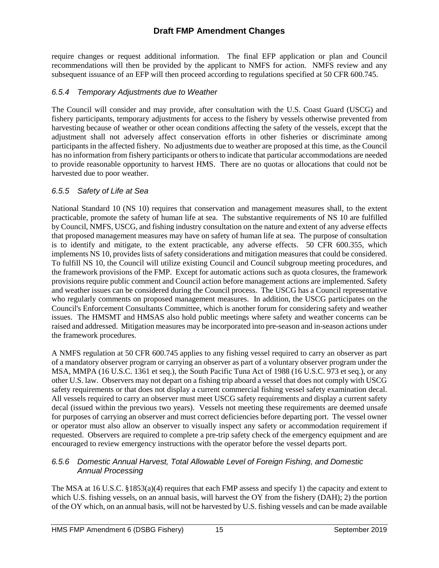require changes or request additional information. The final EFP application or plan and Council recommendations will then be provided by the applicant to NMFS for action. NMFS review and any subsequent issuance of an EFP will then proceed according to regulations specified at 50 CFR 600.745.

### *6.5.4 Temporary Adjustments due to Weather*

The Council will consider and may provide, after consultation with the U.S. Coast Guard (USCG) and fishery participants, temporary adjustments for access to the fishery by vessels otherwise prevented from harvesting because of weather or other ocean conditions affecting the safety of the vessels, except that the adjustment shall not adversely affect conservation efforts in other fisheries or discriminate among participants in the affected fishery. No adjustments due to weather are proposed at this time, as the Council has no information from fishery participants or others to indicate that particular accommodations are needed to provide reasonable opportunity to harvest HMS. There are no quotas or allocations that could not be harvested due to poor weather.

### *6.5.5 Safety of Life at Sea*

National Standard 10 (NS 10) requires that conservation and management measures shall, to the extent practicable, promote the safety of human life at sea. The substantive requirements of NS 10 are fulfilled by Council, NMFS, USCG, and fishing industry consultation on the nature and extent of any adverse effects that proposed management measures may have on safety of human life at sea. The purpose of consultation is to identify and mitigate, to the extent practicable, any adverse effects. 50 CFR 600.355, which implements NS 10, provides lists of safety considerations and mitigation measures that could be considered. To fulfill NS 10, the Council will utilize existing Council and Council subgroup meeting procedures, and the framework provisions of the FMP. Except for automatic actions such as quota closures, the framework provisions require public comment and Council action before management actions are implemented. Safety and weather issues can be considered during the Council process. The USCG has a Council representative who regularly comments on proposed management measures. In addition, the USCG participates on the Council's Enforcement Consultants Committee, which is another forum for considering safety and weather issues. The HMSMT and HMSAS also hold public meetings where safety and weather concerns can be raised and addressed. Mitigation measures may be incorporated into pre-season and in-season actions under the framework procedures.

A NMFS regulation at 50 CFR 600.745 applies to any fishing vessel required to carry an observer as part of a mandatory observer program or carrying an observer as part of a voluntary observer program under the MSA, MMPA (16 U.S.C. 1361 et seq.), the South Pacific Tuna Act of 1988 (16 U.S.C. 973 et seq.), or any other U.S. law. Observers may not depart on a fishing trip aboard a vessel that does not comply with USCG safety requirements or that does not display a current commercial fishing vessel safety examination decal. All vessels required to carry an observer must meet USCG safety requirements and display a current safety decal (issued within the previous two years). Vessels not meeting these requirements are deemed unsafe for purposes of carrying an observer and must correct deficiencies before departing port. The vessel owner or operator must also allow an observer to visually inspect any safety or accommodation requirement if requested. Observers are required to complete a pre-trip safety check of the emergency equipment and are encouraged to review emergency instructions with the operator before the vessel departs port.

#### *6.5.6 Domestic Annual Harvest, Total Allowable Level of Foreign Fishing, and Domestic Annual Processing*

The MSA at 16 U.S.C. §1853(a)(4) requires that each FMP assess and specify 1) the capacity and extent to which U.S. fishing vessels, on an annual basis, will harvest the OY from the fishery (DAH); 2) the portion of the OY which, on an annual basis, will not be harvested by U.S. fishing vessels and can be made available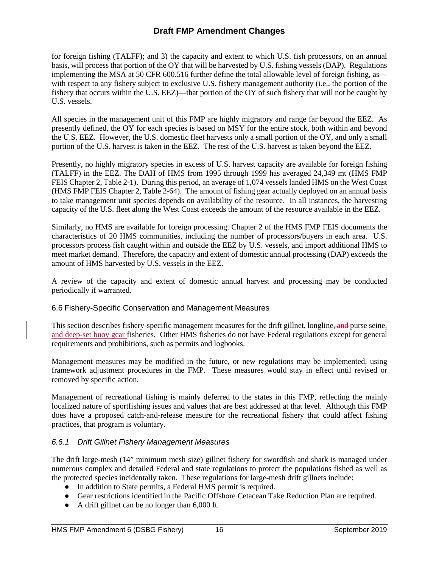for foreign fishing (TALFF); and 3) the capacity and extent to which U.S. fish processors, on an annual basis, will process that portion of the OY that will be harvested by U.S. fishing vessels (DAP). Regulations implementing the MSA at 50 CFR 600.516 further define the total allowable level of foreign fishing, as with respect to any fishery subject to exclusive U.S. fishery management authority (i.e., the portion of the fishery that occurs within the U.S. EEZ)—that portion of the OY of such fishery that will not be caught by U.S. vessels.

All species in the management unit of this FMP are highly migratory and range far beyond the EEZ. As presently defined, the OY for each species is based on MSY for the entire stock, both within and beyond the U.S. EEZ. However, the U.S. domestic fleet harvests only a small portion of the OY, and only a small portion of the U.S. harvest is taken in the EEZ. The rest of the U.S. harvest is taken beyond the EEZ.

Presently, no highly migratory species in excess of U.S. harvest capacity are available for foreign fishing (TALFF) in the EEZ. The DAH of HMS from 1995 through 1999 has averaged 24,349 mt (HMS FMP FEIS Chapter 2, Table 2-1). During this period, an average of 1,074 vessels landed HMS on the West Coast (HMS FMP FEIS Chapter 2, Table 2-64). The amount of fishing gear actually deployed on an annual basis to take management unit species depends on availability of the resource. In all instances, the harvesting capacity of the U.S. fleet along the West Coast exceeds the amount of the resource available in the EEZ.

Similarly, no HMS are available for foreign processing. Chapter 2 of the HMS FMP FEIS documents the characteristics of 20 HMS communities, including the number of processors/buyers in each area. U.S. processors process fish caught within and outside the EEZ by U.S. vessels, and import additional HMS to meet market demand. Therefore, the capacity and extent of domestic annual processing (DAP) exceeds the amount of HMS harvested by U.S. vessels in the EEZ.

A review of the capacity and extent of domestic annual harvest and processing may be conducted periodically if warranted.

### 6.6 Fishery-Specific Conservation and Management Measures

This section describes fishery-specific management measures for the drift gillnet, longline, and purse seine, and deep-set buoy gear fisheries. Other HMS fisheries do not have Federal regulations except for general requirements and prohibitions, such as permits and logbooks.

Management measures may be modified in the future, or new regulations may be implemented, using framework adjustment procedures in the FMP. These measures would stay in effect until revised or removed by specific action.

Management of recreational fishing is mainly deferred to the states in this FMP, reflecting the mainly localized nature of sportfishing issues and values that are best addressed at that level. Although this FMP does have a proposed catch-and-release measure for the recreational fishery that could affect fishing practices, that program is voluntary.

### *6.6.1 Drift Gillnet Fishery Management Measures*

The drift large-mesh (14" minimum mesh size) gillnet fishery for swordfish and shark is managed under numerous complex and detailed Federal and state regulations to protect the populations fished as well as the protected species incidentally taken. These regulations for large-mesh drift gillnets include:

- In addition to State permits, a Federal HMS permit is required.
- Gear restrictions identified in the Pacific Offshore Cetacean Take Reduction Plan are required.
- A drift gillnet can be no longer than 6,000 ft.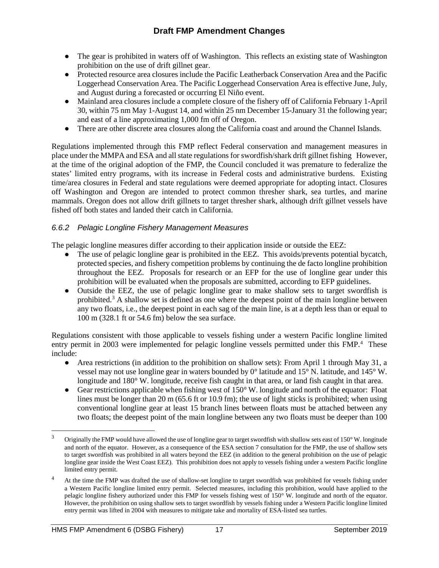- The gear is prohibited in waters off of Washington. This reflects an existing state of Washington prohibition on the use of drift gillnet gear.
- Protected resource area closures include the Pacific Leatherback Conservation Area and the Pacific Loggerhead Conservation Area. The Pacific Loggerhead Conservation Area is effective June, July, and August during a forecasted or occurring El Niño event.
- Mainland area closures include a complete closure of the fishery off of California February 1-April 30, within 75 nm May 1-August 14, and within 25 nm December 15-January 31 the following year; and east of a line approximating 1,000 fm off of Oregon.
- There are other discrete area closures along the California coast and around the Channel Islands.

Regulations implemented through this FMP reflect Federal conservation and management measures in place under the MMPA and ESA and all state regulations for swordfish/shark drift gillnet fishing However, at the time of the original adoption of the FMP, the Council concluded it was premature to federalize the states' limited entry programs, with its increase in Federal costs and administrative burdens. Existing time/area closures in Federal and state regulations were deemed appropriate for adopting intact. Closures off Washington and Oregon are intended to protect common thresher shark, sea turtles, and marine mammals. Oregon does not allow drift gillnets to target thresher shark, although drift gillnet vessels have fished off both states and landed their catch in California.

### *6.6.2 Pelagic Longline Fishery Management Measures*

The pelagic longline measures differ according to their application inside or outside the EEZ:

- The use of pelagic longline gear is prohibited in the EEZ. This avoids/prevents potential bycatch, protected species, and fishery competition problems by continuing the de facto longline prohibition throughout the EEZ. Proposals for research or an EFP for the use of longline gear under this prohibition will be evaluated when the proposals are submitted, according to EFP guidelines.
- Outside the EEZ, the use of pelagic longline gear to make shallow sets to target swordfish is prohibited[.3](#page-16-0) A shallow set is defined as one where the deepest point of the main longline between any two floats, i.e., the deepest point in each sag of the main line, is at a depth less than or equal to 100 m (328.1 ft or 54.6 fm) below the sea surface.

Regulations consistent with those applicable to vessels fishing under a western Pacific longline limited entry permit in 2003 were implemented for pelagic longline vessels permitted under this FMP.<sup>[4](#page-16-1)</sup> These include:

- Area restrictions (in addition to the prohibition on shallow sets): From April 1 through May 31, a vessel may not use longline gear in waters bounded by 0° latitude and 15° N. latitude, and 145° W. longitude and 180° W. longitude, receive fish caught in that area, or land fish caught in that area.
- Gear restrictions applicable when fishing west of 150° W. longitude and north of the equator: Float lines must be longer than 20 m (65.6 ft or 10.9 fm); the use of light sticks is prohibited; when using conventional longline gear at least 15 branch lines between floats must be attached between any two floats; the deepest point of the main longline between any two floats must be deeper than 100

<span id="page-16-0"></span> <sup>3</sup> Originally the FMP would have allowed the use of longline gear to target swordfish with shallow sets east of 150° W. longitude and north of the equator. However, as a consequence of the ESA section 7 consultation for the FMP, the use of shallow sets to target swordfish was prohibited in all waters beyond the EEZ (in addition to the general prohibition on the use of pelagic longline gear inside the West Coast EEZ). This prohibition does not apply to vessels fishing under a western Pacific longline limited entry permit.

<span id="page-16-1"></span><sup>&</sup>lt;sup>4</sup> At the time the FMP was drafted the use of shallow-set longline to target swordfish was prohibited for vessels fishing under a Western Pacific longline limited entry permit. Selected measures, including this prohibition, would have applied to the pelagic longline fishery authorized under this FMP for vessels fishing west of 150° W. longitude and north of the equator. However, the prohibition on using shallow sets to target swordfish by vessels fishing under a Western Pacific longline limited entry permit was lifted in 2004 with measures to mitigate take and mortality of ESA-listed sea turtles.